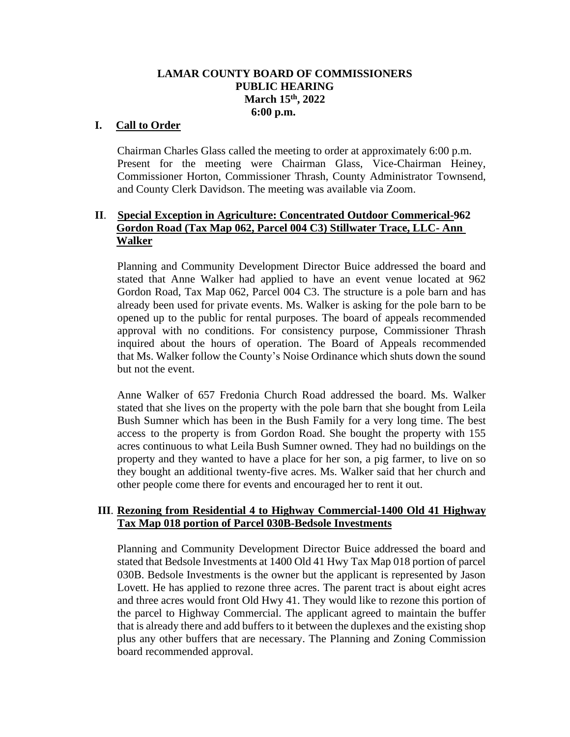# **LAMAR COUNTY BOARD OF COMMISSIONERS PUBLIC HEARING March 15th, 2022 6:00 p.m.**

### **I. Call to Order**

Chairman Charles Glass called the meeting to order at approximately 6:00 p.m. Present for the meeting were Chairman Glass, Vice-Chairman Heiney, Commissioner Horton, Commissioner Thrash, County Administrator Townsend, and County Clerk Davidson. The meeting was available via Zoom.

# **II**. **Special Exception in Agriculture: Concentrated Outdoor Commerical-962 Gordon Road (Tax Map 062, Parcel 004 C3) Stillwater Trace, LLC- Ann Walker**

Planning and Community Development Director Buice addressed the board and stated that Anne Walker had applied to have an event venue located at 962 Gordon Road, Tax Map 062, Parcel 004 C3. The structure is a pole barn and has already been used for private events. Ms. Walker is asking for the pole barn to be opened up to the public for rental purposes. The board of appeals recommended approval with no conditions. For consistency purpose, Commissioner Thrash inquired about the hours of operation. The Board of Appeals recommended that Ms. Walker follow the County's Noise Ordinance which shuts down the sound but not the event.

Anne Walker of 657 Fredonia Church Road addressed the board. Ms. Walker stated that she lives on the property with the pole barn that she bought from Leila Bush Sumner which has been in the Bush Family for a very long time. The best access to the property is from Gordon Road. She bought the property with 155 acres continuous to what Leila Bush Sumner owned. They had no buildings on the property and they wanted to have a place for her son, a pig farmer, to live on so they bought an additional twenty-five acres. Ms. Walker said that her church and other people come there for events and encouraged her to rent it out.

#### **III**. **Rezoning from Residential 4 to Highway Commercial-1400 Old 41 Highway Tax Map 018 portion of Parcel 030B-Bedsole Investments**

Planning and Community Development Director Buice addressed the board and stated that Bedsole Investments at 1400 Old 41 Hwy Tax Map 018 portion of parcel 030B. Bedsole Investments is the owner but the applicant is represented by Jason Lovett. He has applied to rezone three acres. The parent tract is about eight acres and three acres would front Old Hwy 41. They would like to rezone this portion of the parcel to Highway Commercial. The applicant agreed to maintain the buffer that is already there and add buffers to it between the duplexes and the existing shop plus any other buffers that are necessary. The Planning and Zoning Commission board recommended approval.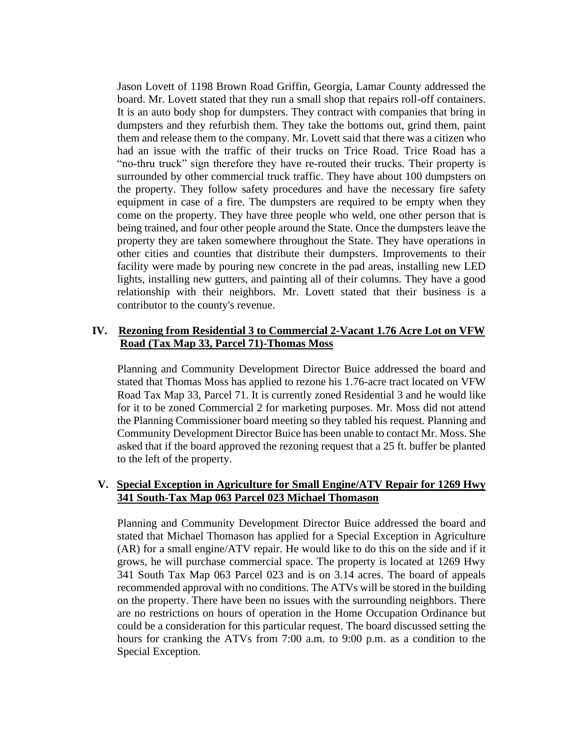Jason Lovett of 1198 Brown Road Griffin, Georgia, Lamar County addressed the board. Mr. Lovett stated that they run a small shop that repairs roll-off containers. It is an auto body shop for dumpsters. They contract with companies that bring in dumpsters and they refurbish them. They take the bottoms out, grind them, paint them and release them to the company. Mr. Lovett said that there was a citizen who had an issue with the traffic of their trucks on Trice Road. Trice Road has a "no-thru truck" sign therefore they have re-routed their trucks. Their property is surrounded by other commercial truck traffic. They have about 100 dumpsters on the property. They follow safety procedures and have the necessary fire safety equipment in case of a fire. The dumpsters are required to be empty when they come on the property. They have three people who weld, one other person that is being trained, and four other people around the State. Once the dumpsters leave the property they are taken somewhere throughout the State. They have operations in other cities and counties that distribute their dumpsters. Improvements to their facility were made by pouring new concrete in the pad areas, installing new LED lights, installing new gutters, and painting all of their columns. They have a good relationship with their neighbors. Mr. Lovett stated that their business is a contributor to the county's revenue.

### **IV. Rezoning from Residential 3 to Commercial 2-Vacant 1.76 Acre Lot on VFW Road (Tax Map 33, Parcel 71)-Thomas Moss**

Planning and Community Development Director Buice addressed the board and stated that Thomas Moss has applied to rezone his 1.76-acre tract located on VFW Road Tax Map 33, Parcel 71. It is currently zoned Residential 3 and he would like for it to be zoned Commercial 2 for marketing purposes. Mr. Moss did not attend the Planning Commissioner board meeting so they tabled his request. Planning and Community Development Director Buice has been unable to contact Mr. Moss. She asked that if the board approved the rezoning request that a 25 ft. buffer be planted to the left of the property.

### **V. Special Exception in Agriculture for Small Engine/ATV Repair for 1269 Hwy 341 South-Tax Map 063 Parcel 023 Michael Thomason**

Planning and Community Development Director Buice addressed the board and stated that Michael Thomason has applied for a Special Exception in Agriculture (AR) for a small engine/ATV repair. He would like to do this on the side and if it grows, he will purchase commercial space. The property is located at 1269 Hwy 341 South Tax Map 063 Parcel 023 and is on 3.14 acres. The board of appeals recommended approval with no conditions. The ATVs will be stored in the building on the property. There have been no issues with the surrounding neighbors. There are no restrictions on hours of operation in the Home Occupation Ordinance but could be a consideration for this particular request. The board discussed setting the hours for cranking the ATVs from 7:00 a.m. to 9:00 p.m. as a condition to the Special Exception.